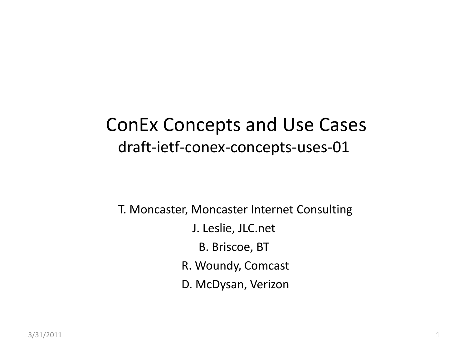#### ConEx Concepts and Use Cases draft-ietf-conex-concepts-uses-01

T. Moncaster, Moncaster Internet Consulting

- J. Leslie, JLC.net
	- B. Briscoe, BT
- R. Woundy, Comcast
- D. McDysan, Verizon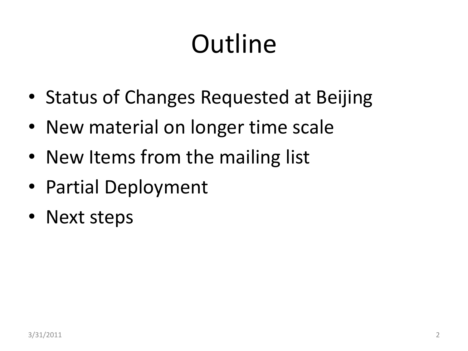# **Outline**

- Status of Changes Requested at Beijing
- New material on longer time scale
- New Items from the mailing list
- Partial Deployment
- Next steps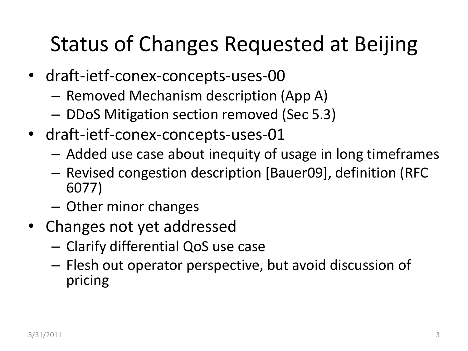#### Status of Changes Requested at Beijing

- draft-ietf-conex-concepts-uses-00
	- Removed Mechanism description (App A)
	- DDoS Mitigation section removed (Sec 5.3)
- draft-ietf-conex-concepts-uses-01
	- Added use case about inequity of usage in long timeframes
	- Revised congestion description [Bauer09], definition (RFC 6077)
	- Other minor changes
- Changes not yet addressed
	- Clarify differential QoS use case
	- Flesh out operator perspective, but avoid discussion of pricing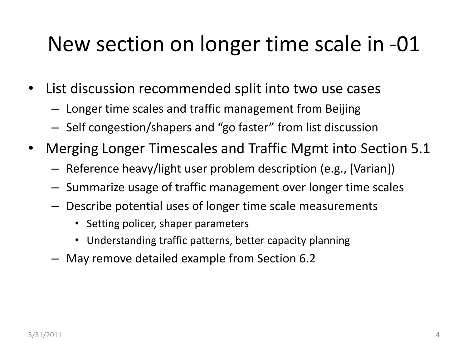#### New section on longer time scale in -01

- List discussion recommended split into two use cases
	- Longer time scales and traffic management from Beijing
	- Self congestion/shapers and "go faster" from list discussion
- Merging Longer Timescales and Traffic Mgmt into Section 5.1
	- Reference heavy/light user problem description (e.g., [Varian])
	- Summarize usage of traffic management over longer time scales
	- Describe potential uses of longer time scale measurements
		- Setting policer, shaper parameters
		- Understanding traffic patterns, better capacity planning
	- May remove detailed example from Section 6.2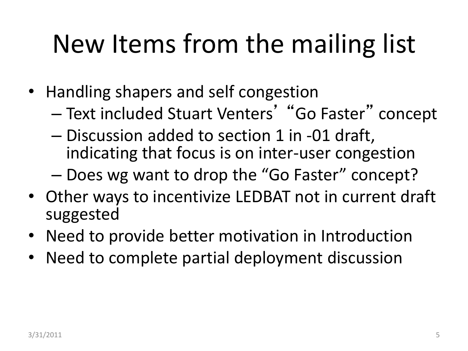# New Items from the mailing list

- Handling shapers and self congestion
	- Text included Stuart Venters' "Go Faster" concept
	- Discussion added to section 1 in -01 draft, indicating that focus is on inter-user congestion
	- Does wg want to drop the "Go Faster" concept?
- Other ways to incentivize LEDBAT not in current draft suggested
- Need to provide better motivation in Introduction
- Need to complete partial deployment discussion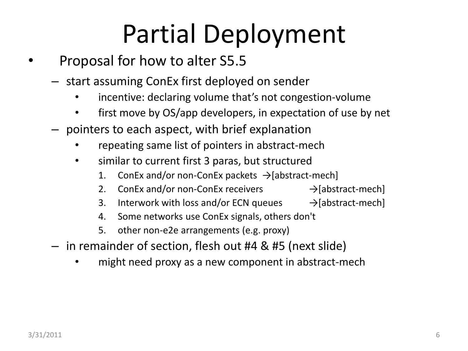# Partial Deployment

- Proposal for how to alter S5.5
	- start assuming ConEx first deployed on sender
		- incentive: declaring volume that's not congestion-volume
		- first move by OS/app developers, in expectation of use by net
	- pointers to each aspect, with brief explanation
		- repeating same list of pointers in abstract-mech
		- similar to current first 3 paras, but structured
			- 1. ConEx and/or non-ConEx packets  $\rightarrow$  [abstract-mech]
			- 2. ConEx and/or non-ConEx receivers  $\rightarrow$  [abstract-mech]
			- 3. Interwork with loss and/or ECN queues  $\rightarrow$  [abstract-mech]
			- 4. Some networks use ConEx signals, others don't
			- 5. other non-e2e arrangements (e.g. proxy)
	- in remainder of section, flesh out #4 & #5 (next slide)
		- might need proxy as a new component in abstract-mech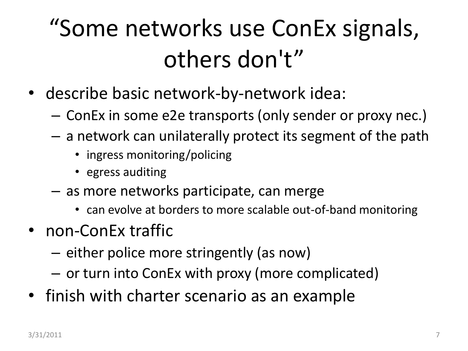### "Some networks use ConEx signals, others don't"

- describe basic network-by-network idea:
	- ConEx in some e2e transports (only sender or proxy nec.)
	- a network can unilaterally protect its segment of the path
		- ingress monitoring/policing
		- egress auditing
	- as more networks participate, can merge
		- can evolve at borders to more scalable out-of-band monitoring
- non-ConEx traffic
	- either police more stringently (as now)
	- or turn into ConEx with proxy (more complicated)
- finish with charter scenario as an example